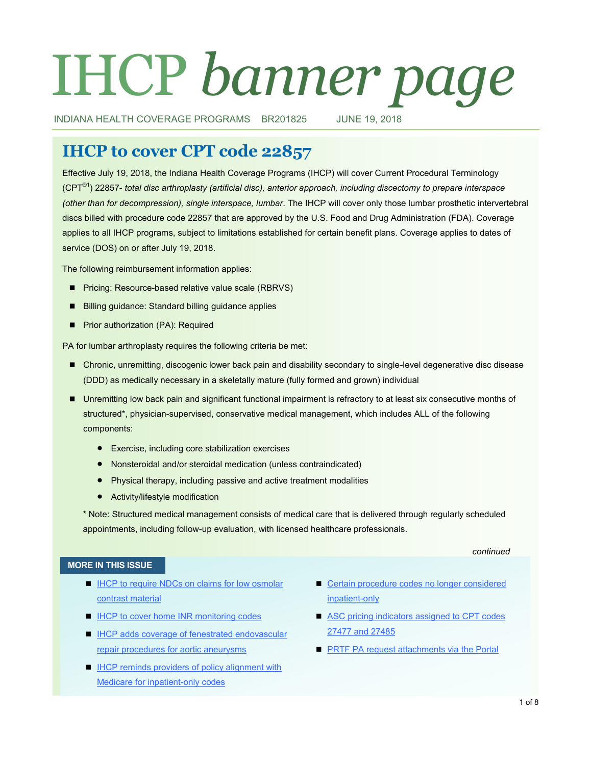# IHCP *banner page*

INDIANA HEALTH COVERAGE PROGRAMS BR201825 JUNE 19, 2018

# **IHCP to cover CPT code 22857**

Effective July 19, 2018, the Indiana Health Coverage Programs (IHCP) will cover Current Procedural Terminology (CPT®1) 22857- *total disc arthroplasty (artificial disc), anterior approach, including discectomy to prepare interspace (other than for decompression), single interspace, lumbar*. The IHCP will cover only those lumbar prosthetic intervertebral discs billed with procedure code 22857 that are approved by the U.S. Food and Drug Administration (FDA). Coverage applies to all IHCP programs, subject to limitations established for certain benefit plans. Coverage applies to dates of service (DOS) on or after July 19, 2018.

The following reimbursement information applies:

- **Pricing: Resource-based relative value scale (RBRVS)**
- Billing quidance: Standard billing quidance applies
- **Prior authorization (PA): Required**

PA for lumbar arthroplasty requires the following criteria be met:

- **Chronic, unremitting, discogenic lower back pain and disability secondary to single-level degenerative disc disease** (DDD) as medically necessary in a skeletally mature (fully formed and grown) individual
- **Unremitting low back pain and significant functional impairment is refractory to at least six consecutive months of** structured\*, physician-supervised, conservative medical management, which includes ALL of the following components:
	- Exercise, including core stabilization exercises
	- Nonsteroidal and/or steroidal medication (unless contraindicated)
	- Physical therapy, including passive and active treatment modalities
	- Activity/lifestyle modification

\* Note: Structured medical management consists of medical care that is delivered through regularly scheduled appointments, including follow-up evaluation, with licensed healthcare professionals.

### *continued*

### **MORE IN THIS ISSUE**

- IHCP to require NDCs on claims for low osmolar [contrast material](#page-1-0)
- **[IHCP to cover home INR monitoring codes](#page-2-0)**
- IHCP adds coverage of fenestrated endovascular [repair procedures for aortic aneurysms](#page-3-0)
- **IHCP reminds providers of policy alignment with** [Medicare for inpatient](#page-4-0)-only codes
- Certain procedure codes no longer considered [inpatient](#page-5-0)-only
- ASC pricing indicators assigned to CPT codes [27477 and 27485](#page-6-0)
- **[PRTF PA request attachments via the Portal](#page-6-0)**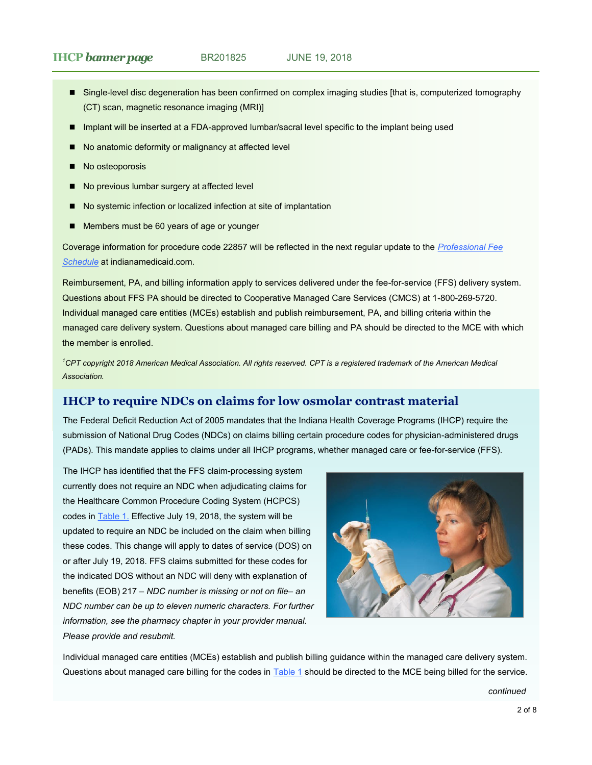- <span id="page-1-0"></span>Single-level disc degeneration has been confirmed on complex imaging studies [that is, computerized tomography (CT) scan, magnetic resonance imaging (MRI)]
- **Implant will be inserted at a FDA-approved lumbar/sacral level specific to the implant being used**
- No anatomic deformity or malignancy at affected level
- No osteoporosis
- No previous lumbar surgery at affected level
- No systemic infection or localized infection at site of implantation
- Members must be 60 years of age or younger

Coverage information for procedure code 22857 will be reflected in the next regular update to the *[Professional Fee](http://provider.indianamedicaid.com/ihcp/Publications/MaxFee/fee_schedule.asp)  [Schedule](http://provider.indianamedicaid.com/ihcp/Publications/MaxFee/fee_schedule.asp)* at indianamedicaid.com.

Reimbursement, PA, and billing information apply to services delivered under the fee-for-service (FFS) delivery system. Questions about FFS PA should be directed to Cooperative Managed Care Services (CMCS) at 1-800-269-5720. Individual managed care entities (MCEs) establish and publish reimbursement, PA, and billing criteria within the managed care delivery system. Questions about managed care billing and PA should be directed to the MCE with which the member is enrolled.

*<sup>1</sup>CPT copyright 2018 American Medical Association. All rights reserved. CPT is a registered trademark of the American Medical Association.*

# **IHCP to require NDCs on claims for low osmolar contrast material**

The Federal Deficit Reduction Act of 2005 mandates that the Indiana Health Coverage Programs (IHCP) require the submission of National Drug Codes (NDCs) on claims billing certain procedure codes for physician-administered drugs (PADs). This mandate applies to claims under all IHCP programs, whether managed care or fee-for-service (FFS).

The IHCP has identified that the FFS claim-processing system currently does not require an NDC when adjudicating claims for the Healthcare Common Procedure Coding System (HCPCS) codes in [Table 1.](#page-2-0) Effective July 19, 2018, the system will be updated to require an NDC be included on the claim when billing these codes. This change will apply to dates of service (DOS) on or after July 19, 2018. FFS claims submitted for these codes for the indicated DOS without an NDC will deny with explanation of benefits (EOB) 217 – *NDC number is missing or not on file– an NDC number can be up to eleven numeric characters. For further information, see the pharmacy chapter in your provider manual. Please provide and resubmit.*



Individual managed care entities (MCEs) establish and publish billing guidance within the managed care delivery system. Questions about managed care billing for the codes in **[Table 1](#page-2-0)** should be directed to the MCE being billed for the service.

*continued*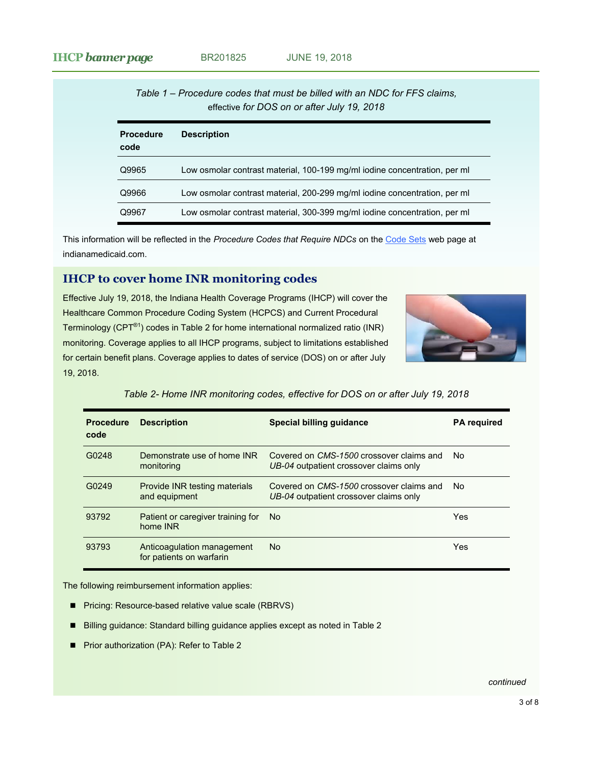<span id="page-2-0"></span>

|                          | Table 1 – Procedure codes that must be billed with an NDC for FFS claims.<br>effective for DOS on or after July 19, 2018 |
|--------------------------|--------------------------------------------------------------------------------------------------------------------------|
| <b>Procedure</b><br>code | <b>Description</b>                                                                                                       |
| Q9965                    | Low osmolar contrast material, 100-199 mg/ml iodine concentration, per ml                                                |
| Q9966                    | Low osmolar contrast material, 200-299 mg/ml iodine concentration, per ml                                                |
| Q9967                    | Low osmolar contrast material, 300-399 mg/ml iodine concentration, per ml                                                |

This information will be reflected in the *Procedure Codes that Require NDCs* on the [Code Sets](http://provider.indianamedicaid.com/general-provider-services/billing-and-remittance/code-sets.aspx) web page at indianamedicaid.com.

# **IHCP to cover home INR monitoring codes**

Effective July 19, 2018, the Indiana Health Coverage Programs (IHCP) will cover the Healthcare Common Procedure Coding System (HCPCS) and Current Procedural Terminology (CPT®1) codes in Table 2 for home international normalized ratio (INR) monitoring. Coverage applies to all IHCP programs, subject to limitations established for certain benefit plans. Coverage applies to dates of service (DOS) on or after July 19, 2018.



| <b>Procedure</b><br>code | <b>Description</b>                                     | Special billing quidance                                                           | <b>PA</b> required |
|--------------------------|--------------------------------------------------------|------------------------------------------------------------------------------------|--------------------|
| G0248                    | Demonstrate use of home INR<br>monitoring              | Covered on CMS-1500 crossover claims and<br>UB-04 outpatient crossover claims only | No.                |
| G0249                    | Provide INR testing materials<br>and equipment         | Covered on CMS-1500 crossover claims and<br>UB-04 outpatient crossover claims only | No.                |
| 93792                    | Patient or caregiver training for<br>home INR          | No.                                                                                | Yes                |
| 93793                    | Anticoagulation management<br>for patients on warfarin | No.                                                                                | Yes                |

*Table 2- Home INR monitoring codes, effective for DOS on or after July 19, 2018*

The following reimbursement information applies:

- Pricing: Resource-based relative value scale (RBRVS)
- Billing guidance: Standard billing guidance applies except as noted in Table 2
- **Prior authorization (PA): Refer to Table 2**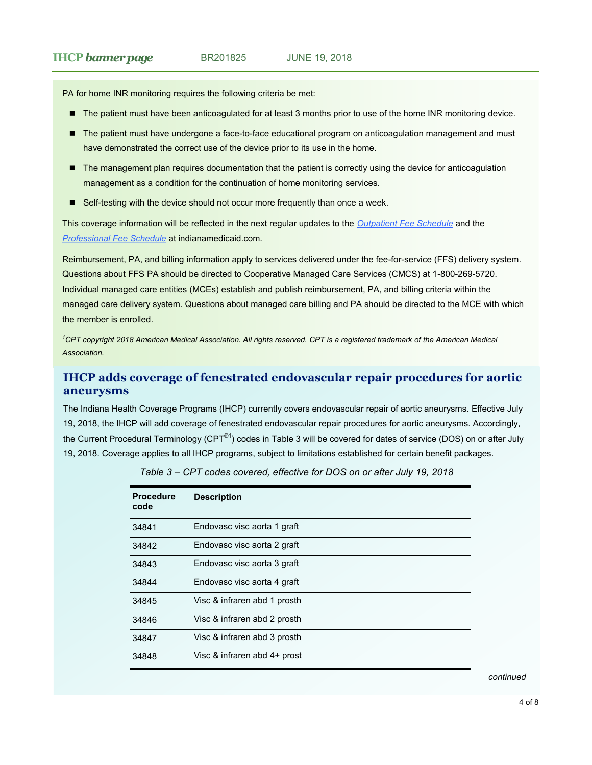<span id="page-3-0"></span>PA for home INR monitoring requires the following criteria be met:

- The patient must have been anticoagulated for at least 3 months prior to use of the home INR monitoring device.
- The patient must have undergone a face-to-face educational program on anticoagulation management and must have demonstrated the correct use of the device prior to its use in the home.
- The management plan requires documentation that the patient is correctly using the device for anticoagulation management as a condition for the continuation of home monitoring services.
- Self-testing with the device should not occur more frequently than once a week.

This coverage information will be reflected in the next regular updates to the *[Outpatient Fee Schedule](http://provider.indianamedicaid.com/ihcp/Publications/MaxFee/fee_schedule.asp)* and the *[Professional Fee Schedule](http://provider.indianamedicaid.com/ihcp/Publications/MaxFee/fee_schedule.asp)* at indianamedicaid.com.

Reimbursement, PA, and billing information apply to services delivered under the fee-for-service (FFS) delivery system. Questions about FFS PA should be directed to Cooperative Managed Care Services (CMCS) at 1-800-269-5720. Individual managed care entities (MCEs) establish and publish reimbursement, PA, and billing criteria within the managed care delivery system. Questions about managed care billing and PA should be directed to the MCE with which the member is enrolled.

*<sup>1</sup>CPT copyright 2018 American Medical Association. All rights reserved. CPT is a registered trademark of the American Medical Association.*

# **IHCP adds coverage of fenestrated endovascular repair procedures for aortic aneurysms**

The Indiana Health Coverage Programs (IHCP) currently covers endovascular repair of aortic aneurysms. Effective July 19, 2018, the IHCP will add coverage of fenestrated endovascular repair procedures for aortic aneurysms. Accordingly, the Current Procedural Terminology (CPT<sup>®1</sup>) codes in Table 3 will be covered for dates of service (DOS) on or after July 19, 2018. Coverage applies to all IHCP programs, subject to limitations established for certain benefit packages.

| <b>Procedure</b><br>code | <b>Description</b>           |
|--------------------------|------------------------------|
| 34841                    | Endovasc visc aorta 1 graft  |
| 34842                    | Endovasc visc aorta 2 graft  |
| 34843                    | Endovasc visc aorta 3 graft  |
| 34844                    | Endovasc visc aorta 4 graft  |
| 34845                    | Visc & infraren abd 1 prosth |
| 34846                    | Visc & infraren abd 2 prosth |
| 34847                    | Visc & infraren abd 3 prosth |
| 34848                    | Visc & infraren abd 4+ prost |

*continued*

*Table 3 – CPT codes covered, effective for DOS on or after July 19, 2018*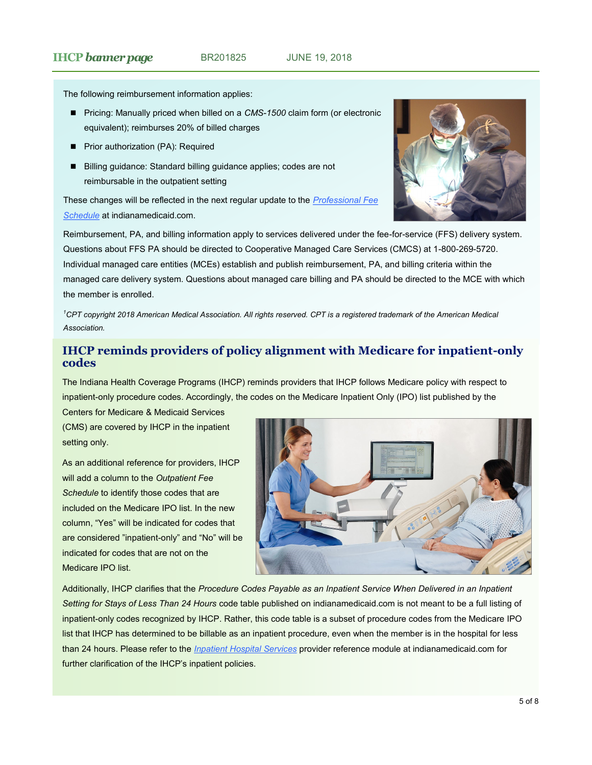### <span id="page-4-0"></span>**IHCP** *banner page* BR201825 JUNE 19, 2018

The following reimbursement information applies:

- Pricing: Manually priced when billed on a *CMS-1500* claim form (or electronic equivalent); reimburses 20% of billed charges
- **Prior authorization (PA): Required**
- Billing guidance: Standard billing guidance applies; codes are not reimbursable in the outpatient setting

These changes will be reflected in the next regular update to the *[Professional Fee](http://provider.indianamedicaid.com/ihcp/Publications/MaxFee/fee_schedule.asp)  [Schedule](http://provider.indianamedicaid.com/ihcp/Publications/MaxFee/fee_schedule.asp)* at indianamedicaid.com.



Reimbursement, PA, and billing information apply to services delivered under the fee-for-service (FFS) delivery system. Questions about FFS PA should be directed to Cooperative Managed Care Services (CMCS) at 1-800-269-5720. Individual managed care entities (MCEs) establish and publish reimbursement, PA, and billing criteria within the managed care delivery system. Questions about managed care billing and PA should be directed to the MCE with which the member is enrolled.

*<sup>1</sup>CPT copyright 2018 American Medical Association. All rights reserved. CPT is a registered trademark of the American Medical Association.*

# **IHCP reminds providers of policy alignment with Medicare for inpatient-only codes**

The Indiana Health Coverage Programs (IHCP) reminds providers that IHCP follows Medicare policy with respect to inpatient-only procedure codes. Accordingly, the codes on the Medicare Inpatient Only (IPO) list published by the

Centers for Medicare & Medicaid Services (CMS) are covered by IHCP in the inpatient setting only.

As an additional reference for providers, IHCP will add a column to the *Outpatient Fee Schedule* to identify those codes that are included on the Medicare IPO list. In the new column, "Yes" will be indicated for codes that are considered "inpatient-only" and "No" will be indicated for codes that are not on the Medicare IPO list.



Additionally, IHCP clarifies that the *Procedure Codes Payable as an Inpatient Service When Delivered in an Inpatient Setting for Stays of Less Than 24 Hours* code table published on indianamedicaid.com is not meant to be a full listing of inpatient-only codes recognized by IHCP. Rather, this code table is a subset of procedure codes from the Medicare IPO list that IHCP has determined to be billable as an inpatient procedure, even when the member is in the hospital for less than 24 hours. Please refer to the *[Inpatient Hospital Services](http://provider.indianamedicaid.com/media/155544/inpatient%20hospital%20services.pdf)* provider reference module at indianamedicaid.com for further clarification of the IHCP's inpatient policies.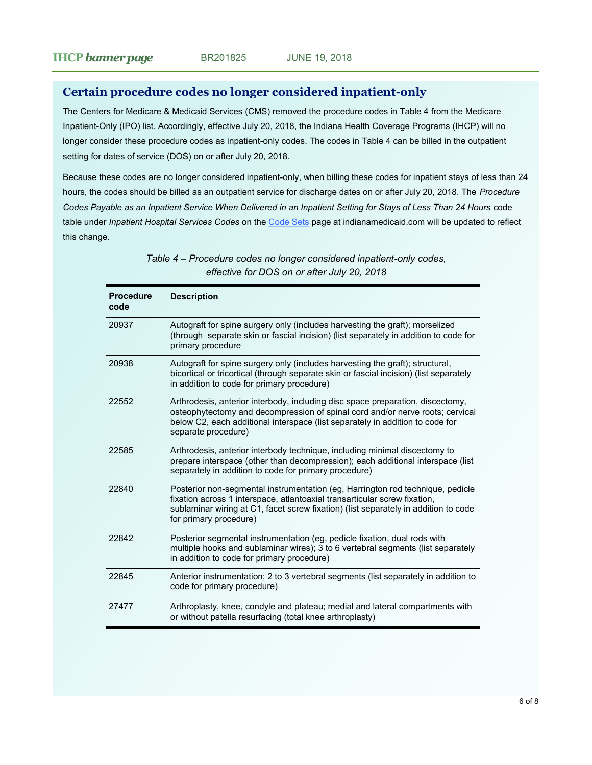# <span id="page-5-0"></span>**Certain procedure codes no longer considered inpatient-only**

The Centers for Medicare & Medicaid Services (CMS) removed the procedure codes in Table 4 from the Medicare Inpatient-Only (IPO) list. Accordingly, effective July 20, 2018, the Indiana Health Coverage Programs (IHCP) will no longer consider these procedure codes as inpatient-only codes. The codes in Table 4 can be billed in the outpatient setting for dates of service (DOS) on or after July 20, 2018.

Because these codes are no longer considered inpatient-only, when billing these codes for inpatient stays of less than 24 hours, the codes should be billed as an outpatient service for discharge dates on or after July 20, 2018. The *Procedure Codes Payable as an Inpatient Service When Delivered in an Inpatient Setting for Stays of Less Than 24 Hours* code table under *Inpatient Hospital Services Codes* on the [Code Sets](http://provider.indianamedicaid.com/general-provider-services/billing-and-remittance/code-sets.aspx) page at indianamedicaid.com will be updated to reflect this change.

| <b>Procedure</b><br>code | <b>Description</b>                                                                                                                                                                                                                                                           |
|--------------------------|------------------------------------------------------------------------------------------------------------------------------------------------------------------------------------------------------------------------------------------------------------------------------|
| 20937                    | Autograft for spine surgery only (includes harvesting the graft); morselized<br>(through separate skin or fascial incision) (list separately in addition to code for<br>primary procedure                                                                                    |
| 20938                    | Autograft for spine surgery only (includes harvesting the graft); structural,<br>bicortical or tricortical (through separate skin or fascial incision) (list separately<br>in addition to code for primary procedure)                                                        |
| 22552                    | Arthrodesis, anterior interbody, including disc space preparation, discectomy,<br>osteophytectomy and decompression of spinal cord and/or nerve roots; cervical<br>below C2, each additional interspace (list separately in addition to code for<br>separate procedure)      |
| 22585                    | Arthrodesis, anterior interbody technique, including minimal discectomy to<br>prepare interspace (other than decompression); each additional interspace (list<br>separately in addition to code for primary procedure)                                                       |
| 22840                    | Posterior non-segmental instrumentation (eg, Harrington rod technique, pedicle<br>fixation across 1 interspace, atlantoaxial transarticular screw fixation,<br>sublaminar wiring at C1, facet screw fixation) (list separately in addition to code<br>for primary procedure) |
| 22842                    | Posterior segmental instrumentation (eg, pedicle fixation, dual rods with<br>multiple hooks and sublaminar wires); 3 to 6 vertebral segments (list separately<br>in addition to code for primary procedure)                                                                  |
| 22845                    | Anterior instrumentation; 2 to 3 vertebral segments (list separately in addition to<br>code for primary procedure)                                                                                                                                                           |
| 27477                    | Arthroplasty, knee, condyle and plateau; medial and lateral compartments with<br>or without patella resurfacing (total knee arthroplasty)                                                                                                                                    |

*Table 4 – Procedure codes no longer considered inpatient-only codes, effective for DOS on or after July 20, 2018*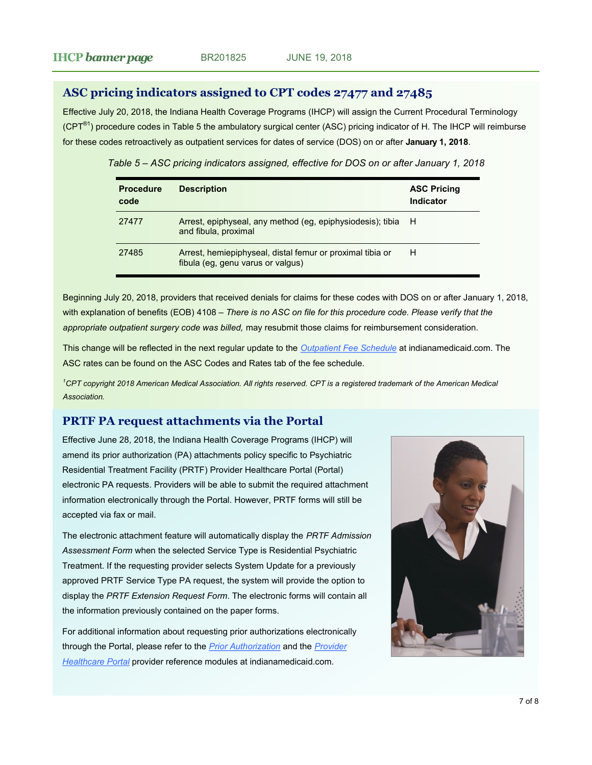# <span id="page-6-0"></span>**ASC pricing indicators assigned to CPT codes 27477 and 27485**

Effective July 20, 2018, the Indiana Health Coverage Programs (IHCP) will assign the Current Procedural Terminology  $(CPT<sup>®1</sup>)$  procedure codes in Table 5 the ambulatory surgical center (ASC) pricing indicator of H. The IHCP will reimburse for these codes retroactively as outpatient services for dates of service (DOS) on or after **January 1, 2018**.

*Table 5 – ASC pricing indicators assigned, effective for DOS on or after January 1, 2018* 

| <b>Procedure</b><br>code | <b>Description</b>                                                                             | <b>ASC Pricing</b><br>Indicator |
|--------------------------|------------------------------------------------------------------------------------------------|---------------------------------|
| 27477                    | Arrest, epiphyseal, any method (eg, epiphysiodesis); tibia<br>and fibula, proximal             | H                               |
| 27485                    | Arrest, hemiepiphyseal, distal femur or proximal tibia or<br>fibula (eg, genu varus or valgus) | Н                               |

Beginning July 20, 2018, providers that received denials for claims for these codes with DOS on or after January 1, 2018, with explanation of benefits (EOB) 4108 – *There is no ASC on file for this procedure code. Please verify that the*  appropriate outpatient surgery code was billed, may resubmit those claims for reimbursement consideration.

This change will be reflected in the next regular update to the *[Outpatient Fee Schedule](http://provider.indianamedicaid.com/ihcp/Publications/MaxFee/fee_schedule.asp)* at indianamedicaid.com. The ASC rates can be found on the ASC Codes and Rates tab of the fee schedule.

*<sup>1</sup>CPT copyright 2018 American Medical Association. All rights reserved. CPT is a registered trademark of the American Medical Association.*

### **PRTF PA request attachments via the Portal**

Effective June 28, 2018, the Indiana Health Coverage Programs (IHCP) will amend its prior authorization (PA) attachments policy specific to Psychiatric Residential Treatment Facility (PRTF) Provider Healthcare Portal (Portal) electronic PA requests. Providers will be able to submit the required attachment information electronically through the Portal. However, PRTF forms will still be accepted via fax or mail.

The electronic attachment feature will automatically display the *PRTF Admission Assessment Form* when the selected Service Type is Residential Psychiatric Treatment. If the requesting provider selects System Update for a previously approved PRTF Service Type PA request, the system will provide the option to display the *PRTF Extension Request Form*. The electronic forms will contain all the information previously contained on the paper forms.

For additional information about requesting prior authorizations electronically through the Portal, please refer to the *[Prior Authorization](http://provider.indianamedicaid.com/media/155475/prior%20authorization.pdf)* and the *[Provider](http://provider.indianamedicaid.com/media/177265/provider%20healthcare%20portal.pdf)  [Healthcare Portal](http://provider.indianamedicaid.com/media/177265/provider%20healthcare%20portal.pdf)* provider reference modules at indianamedicaid.com.